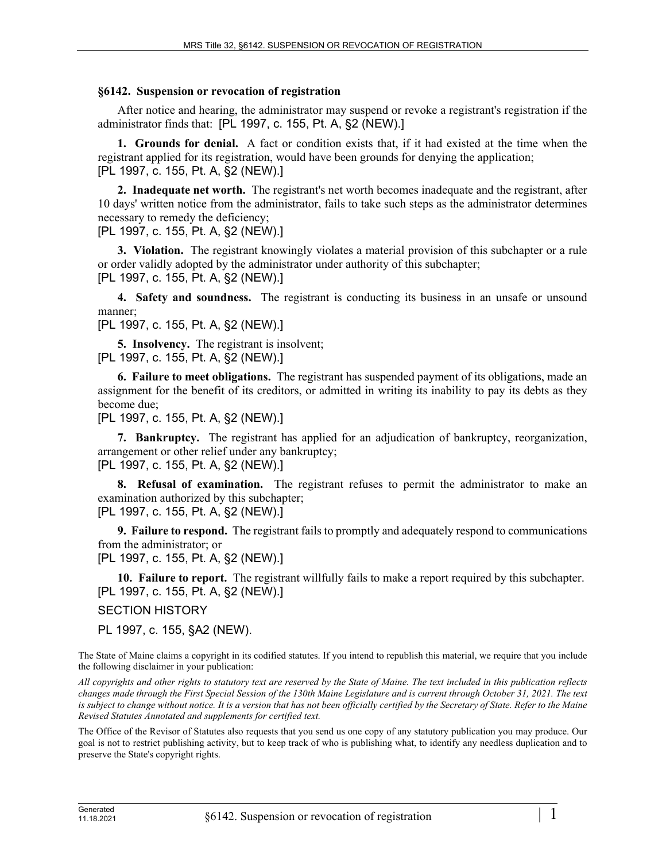## **§6142. Suspension or revocation of registration**

After notice and hearing, the administrator may suspend or revoke a registrant's registration if the administrator finds that: [PL 1997, c. 155, Pt. A, §2 (NEW).]

**1. Grounds for denial.** A fact or condition exists that, if it had existed at the time when the registrant applied for its registration, would have been grounds for denying the application; [PL 1997, c. 155, Pt. A, §2 (NEW).]

**2. Inadequate net worth.** The registrant's net worth becomes inadequate and the registrant, after 10 days' written notice from the administrator, fails to take such steps as the administrator determines necessary to remedy the deficiency;

[PL 1997, c. 155, Pt. A, §2 (NEW).]

**3. Violation.** The registrant knowingly violates a material provision of this subchapter or a rule or order validly adopted by the administrator under authority of this subchapter; [PL 1997, c. 155, Pt. A, §2 (NEW).]

**4. Safety and soundness.** The registrant is conducting its business in an unsafe or unsound manner;

[PL 1997, c. 155, Pt. A, §2 (NEW).]

**5. Insolvency.** The registrant is insolvent; [PL 1997, c. 155, Pt. A, §2 (NEW).]

**6. Failure to meet obligations.** The registrant has suspended payment of its obligations, made an assignment for the benefit of its creditors, or admitted in writing its inability to pay its debts as they become due;

[PL 1997, c. 155, Pt. A, §2 (NEW).]

**7. Bankruptcy.** The registrant has applied for an adjudication of bankruptcy, reorganization, arrangement or other relief under any bankruptcy; [PL 1997, c. 155, Pt. A, §2 (NEW).]

**8. Refusal of examination.** The registrant refuses to permit the administrator to make an examination authorized by this subchapter;

[PL 1997, c. 155, Pt. A, §2 (NEW).]

**9. Failure to respond.** The registrant fails to promptly and adequately respond to communications from the administrator; or

[PL 1997, c. 155, Pt. A, §2 (NEW).]

**10. Failure to report.** The registrant willfully fails to make a report required by this subchapter. [PL 1997, c. 155, Pt. A, §2 (NEW).]

SECTION HISTORY

PL 1997, c. 155, §A2 (NEW).

The State of Maine claims a copyright in its codified statutes. If you intend to republish this material, we require that you include the following disclaimer in your publication:

*All copyrights and other rights to statutory text are reserved by the State of Maine. The text included in this publication reflects changes made through the First Special Session of the 130th Maine Legislature and is current through October 31, 2021. The text*  is subject to change without notice. It is a version that has not been officially certified by the Secretary of State. Refer to the Maine *Revised Statutes Annotated and supplements for certified text.*

The Office of the Revisor of Statutes also requests that you send us one copy of any statutory publication you may produce. Our goal is not to restrict publishing activity, but to keep track of who is publishing what, to identify any needless duplication and to preserve the State's copyright rights.